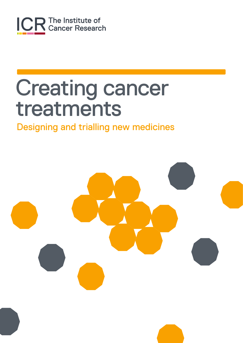

## Creating cancer treatments

### Designing and trialling new medicines

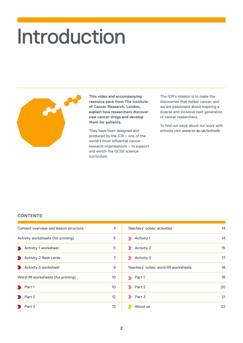## Introduction



**This video and accompanying resource pack from The Institute of Cancer Research, London, explain how researchers discover new cancer drugs and develop them for patients.**

They have been designed and produced by the ICR – one of the world's most influential cancer research organisations – to support and enrich the GCSE science curriculum.

The ICR's mission is to make the discoveries that defeat cancer, and we are passionate about inspiring a diverse and inclusive next generation of cancer researchers.

To find out more about our work with schools visit www.icr.ac.uk/schools

#### **CONTENTS**

| Content overview and lesson structure | 3               | Teachers' notes: activities           | 14 |
|---------------------------------------|-----------------|---------------------------------------|----|
| Activity worksheets (for printing)    | 5               | Activity 1                            | 14 |
| <b>Activity 1 worksheet</b>           | 5               | <b>Activity 2</b>                     | 15 |
| Activity 2 flash cards<br>$\sum$      | 7               | Activity 3                            | 17 |
| Activity 3 worksheet<br><b>Since</b>  | 9               | Teachers' notes: word-fill worksheets | 18 |
| Word-fill worksheets (for printing)   | 10              | Part 1                                | 18 |
| Part 1<br>$\sum_{i=1}^{n}$            | 10 <sup>°</sup> | Part 2                                | 20 |
| Part 2                                | 12              | Part 3                                | 21 |
| Part 3                                | 13              | About us                              | 22 |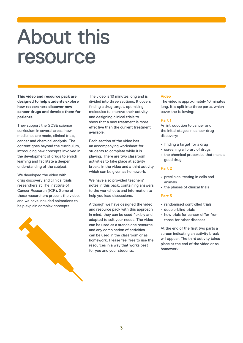## About this resource

**This video and resource pack are designed to help students explore how researchers discover new cancer drugs and develop them for patients.** 

They support the GCSE science curriculum in several areas: how medicines are made, clinical trials, cancer and chemical analysis. The content goes beyond the curriculum, introducing new concepts involved in the development of drugs to enrich learning and facilitate a deeper understanding of the subject.

We developed the video with drug discovery and clinical trials researchers at The Institute of Cancer Research (ICR). Some of these researchers present the video, and we have included animations to help explain complex concepts.



The video is 10 minutes long and is divided into three sections. It covers finding a drug target, optimising molecules to improve their activity, and designing clinical trials to show that a new treatment is more effective than the current treatment available.

Each section of the video has an accompanying worksheet for students to complete while it is playing. There are two classroom activities to take place at activity breaks in the video and a third activity which can be given as homework.

We have also provided teachers' notes in this pack, containing answers to the worksheets and information to help you lead discussions.

Although we have designed the video and resource pack with this approach in mind, they can be used flexibly and adapted to suit your needs. The video can be used as a standalone resource and any combination of activities can be used in the classroom or as homework. Please feel free to use the resources in a way that works best for you and your students.

#### **Video**

The video is approximately 10 minutes long. It is split into three parts, which cover the following:

#### **Part 1**

An introduction to cancer and the initial stages in cancer drug discovery:

- finding a target for a drug
- screening a library of drugs
- the chemical properties that make a good drug

#### **Part 2**

- preclinical testing in cells and animals
- the phases of clinical trials

#### **Part 3**

- randomised controlled trials
- double-blind trials
- how trials for cancer differ from those for other diseases

At the end of the first two parts a screen indicating an activity break will appear. The third activity takes place at the end of the video or as homework.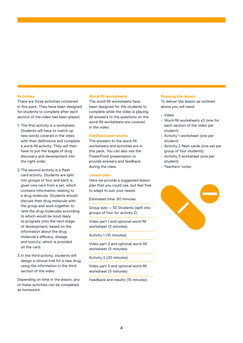#### **Activities**

There are three activities contained in this pack. They have been designed for students to complete after each section of the video has been played.

- 1. The first activity is a worksheet. Students will have to match up new words covered in the video with their definitions and complete a word-fill activity. They will then have to put the stages of drug discovery and development into the right order.
- 2.The second activity is a flash card activity. Students are split into groups of four and each is given one card from a set, which contains information relating to a drug molecule. Students should discuss their drug molecule with the group and work together to rank the drug molecules according to which would be most likely to progress onto the next stage of development, based on the information about the drug molecule's efficacy, dosage and toxicity, which is provided on the card.
- 3.In the third activity, students will design a clinical trial for a new drug using the information in the third section of the video.

Depending on time in the lesson, any of these activities can be completed as homework.

#### **Word-fill worksheets**

The word-fill worksheets have been designed for the students to complete while the video is playing. All answers to the questions on the word-fill worksheets are covered in the video.

#### **Feedback and results**

The answers to the word-fill worksheets and activities are in this pack. You can also use the PowerPoint presentation to provide answers and feedback during the class.

#### **Lesson plan**

Here we provide a suggested lesson plan that you could use, but feel free to adapt to suit your needs.

Estimated time: 60 minutes

Group size: ~ 30 Students (split into groups of four for activity 2)

Video part 1 and optional word-fill worksheet (5 minutes)

Activity 1 (10 minutes)

Video part 2 and optional word-fill worksheet (5 minutes)

Activity 2 (20 minutes)

Video part 3 and optional word-fill worksheet (5 minutes)

Feedback and results (15 minutes)

#### **Running the lesson**

To deliver the lesson as outlined above you will need:

- Video
- Word-fill worksheets x3 (one for each section of the video per student)
- Activity 1 worksheet (one per student)
- Activity 2 flash cards (one set per group of four students)
- Activity 3 worksheet (one per student)
- Teachers' notes

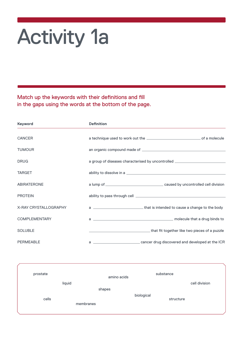# Activity 1a

Match up the keywords with their definitions and fill in the gaps using the words at the bottom of the page.

| Keyword                      | <b>Definition</b>                                                                |
|------------------------------|----------------------------------------------------------------------------------|
| <b>CANCER</b>                |                                                                                  |
| <b>TUMOUR</b>                |                                                                                  |
| <b>DRUG</b>                  | a group of diseases characterised by uncontrolled ______________________________ |
| <b>TARGET</b>                |                                                                                  |
| <b>ABIRATERONE</b>           |                                                                                  |
| <b>PROTEIN</b>               |                                                                                  |
| <b>X-RAY CRYSTALLOGRAPHY</b> | a ________________________________that is intended to cause a change to the body |
| <b>COMPLEMENTARY</b>         |                                                                                  |
| <b>SOLUBLE</b>               |                                                                                  |
| <b>PERMEABLE</b>             |                                                                                  |

| prostate<br>liquid |           | amino acids |            | substance | cell division |
|--------------------|-----------|-------------|------------|-----------|---------------|
|                    | shapes    |             | biological |           |               |
| cells              | membranes |             |            | structure |               |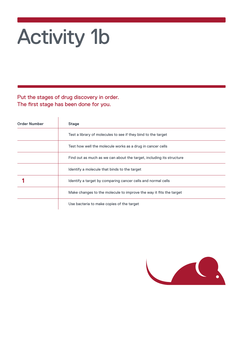# Activity 1b

Put the stages of drug discovery in order. The first stage has been done for you.

| <b>Order Number</b> | <b>Stage</b>                                                         |
|---------------------|----------------------------------------------------------------------|
|                     | Test a library of molecules to see if they bind to the target        |
|                     | Test how well the molecule works as a drug in cancer cells           |
|                     | Find out as much as we can about the target, including its structure |
|                     | Identify a molecule that binds to the target                         |
|                     | Identify a target by comparing cancer cells and normal cells         |
|                     | Make changes to the molecule to improve the way it fits the target   |
|                     | Use bacteria to make copies of the target                            |

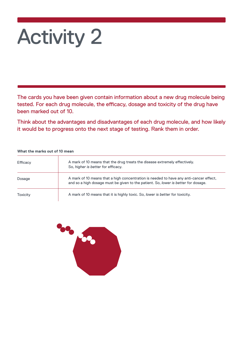# Activity 2

The cards you have been given contain information about a new drug molecule being tested. For each drug molecule, the efficacy, dosage and toxicity of the drug have been marked out of 10.

Think about the advantages and disadvantages of each drug molecule, and how likely it would be to progress onto the next stage of testing. Rank them in order.

#### **What the marks out of 10 mean**

| Efficacy        | A mark of 10 means that the drug treats the disease extremely effectively.<br>So, higher is better for efficacy.                                                             |
|-----------------|------------------------------------------------------------------------------------------------------------------------------------------------------------------------------|
| Dosage          | A mark of 10 means that a high concentration is needed to have any anti-cancer effect,<br>and so a high dosage must be given to the patient. So, lower is better for dosage. |
| <b>Toxicity</b> | A mark of 10 means that it is highly toxic. So, lower is better for toxicity.                                                                                                |

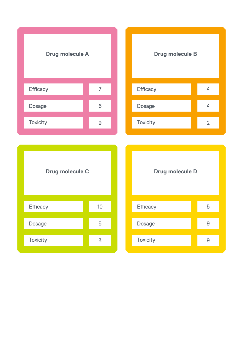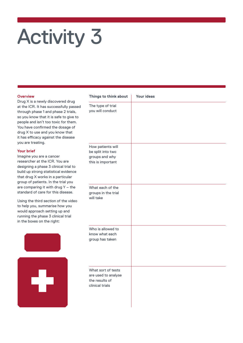# Activity 3

#### **Overview**

Drug X is a newly discovered drug at the ICR. It has successfully passed through phase 1 and phase 2 trials, so you know that it is safe to give to people and isn't too toxic for them. You have confirmed the dosage of drug X to use and you know that it has efficacy against the disease you are treating.

#### **Your brief**

Imagine you are a cancer researcher at the ICR. You are designing a phase 3 clinical trial to build up strong statistical evidence that drug X works in a particular group of patients. In the trial you are comparing it with drug Y – the standard of care for this disease.

Using the third section of the video to help you, summarise how you would approach setting up and running the phase 3 clinical trial in the boxes on the right:



| Things to think about                                                          | <b>Your ideas</b> |
|--------------------------------------------------------------------------------|-------------------|
| The type of trial<br>you will conduct                                          |                   |
| How patients will<br>be split into two<br>groups and why<br>this is important  |                   |
| What each of the<br>groups in the trial<br>will take                           |                   |
| Who is allowed to<br>know what each<br>group has taken                         |                   |
| What sort of tests<br>are used to analyse<br>the results of<br>clinical trials |                   |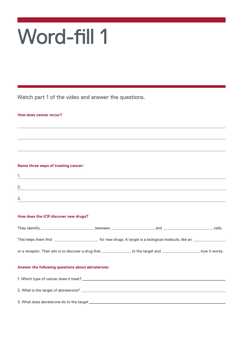Watch part 1 of the video and answer the questions.

#### **How does cancer occur?**

#### **Name three ways of treating cancer:**

\_ \_ \_ \_ \_ \_ \_ \_ \_ \_ \_ \_ \_ \_ \_ \_ \_ \_ \_ \_ \_ \_ \_ \_ \_ \_ \_ \_ \_ \_ \_ \_ \_ \_ \_ \_ \_ \_ \_ \_ \_ \_ \_ \_ \_ \_ \_ \_ \_ \_ \_ \_ \_ \_ \_ \_ \_ \_ \_ \_ \_ \_ \_

\_ \_ \_ \_ \_ \_ \_ \_ \_ \_ \_ \_ \_ \_ \_ \_ \_ \_ \_ \_ \_ \_ \_ \_ \_ \_ \_ \_ \_ \_ \_ \_ \_ \_ \_ \_ \_ \_ \_ \_ \_ \_ \_ \_ \_ \_ \_ \_ \_ \_ \_ \_ \_ \_ \_ \_ \_ \_ \_ \_ \_ \_ \_

\_ \_ \_ \_ \_ \_ \_ \_ \_ \_ \_ \_ \_ \_ \_ \_ \_ \_ \_ \_ \_ \_ \_ \_ \_ \_ \_ \_ \_ \_ \_ \_ \_ \_ \_ \_ \_ \_ \_ \_ \_ \_ \_ \_ \_ \_ \_ \_ \_ \_ \_ \_ \_ \_ \_ \_ \_ \_ \_ \_ \_ \_ \_

#### **How does the ICR discover new drugs?**

|                                                   | or a receptor. Their aim is to discover a drug that entertainment to the target and entertainment of the target and |  |
|---------------------------------------------------|---------------------------------------------------------------------------------------------------------------------|--|
| Answer the following questions about abiraterone: |                                                                                                                     |  |
|                                                   |                                                                                                                     |  |
|                                                   |                                                                                                                     |  |
|                                                   |                                                                                                                     |  |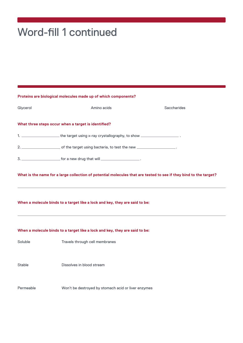### Word-fill 1 continued

| Proteins are biological molecules made up of which components? |                                                                                                                   |                    |  |  |
|----------------------------------------------------------------|-------------------------------------------------------------------------------------------------------------------|--------------------|--|--|
| Glycerol                                                       | Amino acids                                                                                                       | <b>Saccharides</b> |  |  |
|                                                                | What three steps occur when a target is identified?                                                               |                    |  |  |
|                                                                | 1. _______________________the target using x-ray crystallography, to show ______________________.                 |                    |  |  |
|                                                                |                                                                                                                   |                    |  |  |
|                                                                |                                                                                                                   |                    |  |  |
|                                                                | What is the name for a large collection of potential molecules that are tested to see if they bind to the target? |                    |  |  |
|                                                                | When a molecule binds to a target like a lock and key, they are said to be:                                       |                    |  |  |
|                                                                | When a molecule binds to a target like a lock and key, they are said to be:                                       |                    |  |  |
| Soluble                                                        | Travels through cell membranes                                                                                    |                    |  |  |
| <b>Stable</b>                                                  | Dissolves in blood stream                                                                                         |                    |  |  |
| Permeable                                                      | Won't be destroyed by stomach acid or liver enzymes                                                               |                    |  |  |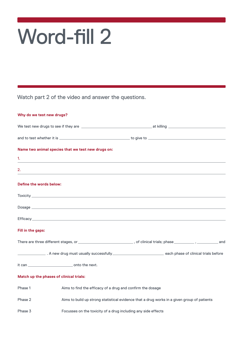Watch part 2 of the video and answer the questions.

#### **Why do we test new drugs?**

|                         | Name two animal species that we test new drugs on:                                                                                                                                                                                   |                                                                                                                            |  |
|-------------------------|--------------------------------------------------------------------------------------------------------------------------------------------------------------------------------------------------------------------------------------|----------------------------------------------------------------------------------------------------------------------------|--|
| 1.                      |                                                                                                                                                                                                                                      |                                                                                                                            |  |
| 2.                      |                                                                                                                                                                                                                                      |                                                                                                                            |  |
| Define the words below: |                                                                                                                                                                                                                                      |                                                                                                                            |  |
|                         | Toxicity <b>with the contract of the contract of the contract of the contract of the contract of the contract of the contract of the contract of the contract of the contract of the contract of the contract of the contract of</b> |                                                                                                                            |  |
|                         |                                                                                                                                                                                                                                      |                                                                                                                            |  |
|                         |                                                                                                                                                                                                                                      |                                                                                                                            |  |
| Fill in the gaps:       |                                                                                                                                                                                                                                      |                                                                                                                            |  |
|                         |                                                                                                                                                                                                                                      | There are three different stages, or _____________________________, of clinical trials; phase __________, ____________ and |  |
|                         |                                                                                                                                                                                                                                      |                                                                                                                            |  |
|                         |                                                                                                                                                                                                                                      |                                                                                                                            |  |
|                         | Match up the phases of clinical trials:                                                                                                                                                                                              |                                                                                                                            |  |
| Phase 1                 | Aims to find the efficacy of a drug and confirm the dosage                                                                                                                                                                           |                                                                                                                            |  |
| Phase 2                 |                                                                                                                                                                                                                                      | Aims to build up strong statistical evidence that a drug works in a given group of patients                                |  |
| Phase 3                 | Focusses on the toxicity of a drug including any side effects                                                                                                                                                                        |                                                                                                                            |  |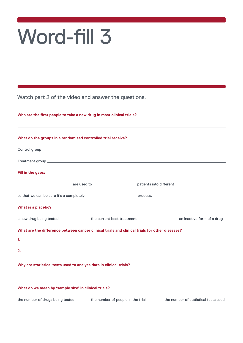Watch part 2 of the video and answer the questions.

**Who are the first people to take a new drug in most clinical trials?**

| What do the groups in a randomised controlled trial receive?                                                         |                            |                            |
|----------------------------------------------------------------------------------------------------------------------|----------------------------|----------------------------|
|                                                                                                                      |                            |                            |
|                                                                                                                      |                            |                            |
| Fill in the gaps:                                                                                                    |                            |                            |
| ___________________________________are used to __________________________patients into different ___________________ |                            |                            |
| so that we can be sure it's a completely ___________________________________ process.                                |                            |                            |
| What is a placebo?                                                                                                   |                            |                            |
| a new drug being tested                                                                                              | the current best treatment | an inactive form of a drug |
| What are the difference between cancer clinical trials and clinical trials for other diseases?                       |                            |                            |
| 1.                                                                                                                   |                            |                            |
| 2.                                                                                                                   |                            |                            |
| Why are statistical tests used to analyse data in clinical trials?                                                   |                            |                            |
|                                                                                                                      |                            |                            |

\_ \_ \_ \_ \_ \_ \_ \_ \_ \_ \_ \_ \_ \_ \_ \_ \_ \_ \_ \_ \_ \_ \_ \_ \_ \_ \_ \_ \_ \_ \_ \_ \_ \_ \_ \_ \_ \_ \_ \_ \_ \_ \_ \_ \_ \_ \_ \_ \_ \_ \_ \_ \_ \_ \_ \_ \_ \_ \_ \_ \_

#### **What do we mean by 'sample size' in clinical trials?**

the number of drugs being tested the number of people in the trial the number of statistical tests used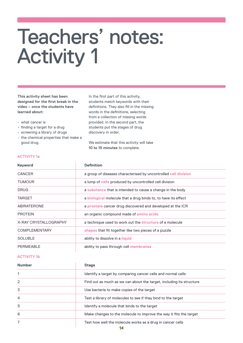### Teachers' notes: Activity 1

**This activity sheet has been designed for the first break in the video – once the students have learned about:**

- what cancer is
- finding a target for a drug
- screening a library of drugs
- the chemical properties that make a good drug.

In the first part of this activity, students match keywords with their definitions. They also fill in the missing words in the definitions, selecting from a collection of missing words provided. In the second part, the students put the stages of drug discovery in order.

We estimate that this activity will take **10 to 15 minutes** to complete.

| <b>Keyword</b>               | <b>Definition</b>                                                     |  |
|------------------------------|-----------------------------------------------------------------------|--|
| <b>CANCER</b>                | a group of diseases characterised by uncontrolled cell division       |  |
| <b>TUMOUR</b>                | a lump of cells produced by uncontrolled cell division                |  |
| <b>DRUG</b>                  | a substance that is intended to cause a change in the body            |  |
| <b>TARGET</b>                | a <b>biological</b> molecule that a drug binds to, to have its effect |  |
| <b>ABIRATERONE</b>           | a prostate cancer drug discovered and developed at the ICR            |  |
| <b>PROTEIN</b>               | an organic compound made of amino acids                               |  |
| <b>X-RAY CRYSTALLOGRAPHY</b> | a technique used to work out the structure of a molecule              |  |
| <b>COMPLEMENTARY</b>         | shapes that fit together like two pieces of a puzzle                  |  |
| <b>SOLUBLE</b>               | ability to dissolve in a liquid                                       |  |
| <b>PERMEABLE</b>             | ability to pass through cell membranes                                |  |

#### **ACTIVITY 1b**

| <b>Number</b>  | <b>Stage</b>                                                         |
|----------------|----------------------------------------------------------------------|
|                | Identify a target by comparing cancer cells and normal cells         |
| $\overline{2}$ | Find out as much as we can about the target, including its structure |
| 3              | Use bacteria to make copies of the target                            |
| 4              | Test a library of molecules to see if they bind to the target        |
| 5              | Identify a molecule that binds to the target                         |
| 6              | Make changes to the molecule to improve the way it fits the target   |
|                | Test how well the molecule works as a drug in cancer cells<br>4 A    |

#### **ACTIVITY 1a**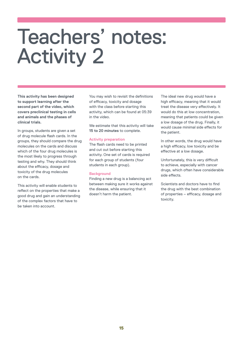### Teachers' notes: Activity 2

**This activity has been designed to support learning after the second part of the video, which covers preclinical testing in cells and animals and the phases of clinical trials.**

In groups, students are given a set of drug molecule flash cards. In the groups, they should compare the drug molecules on the cards and discuss which of the four drug molecules is the most likely to progress through testing and why. They should think about the efficacy, dosage and toxicity of the drug molecules on the cards.

This activity will enable students to reflect on the properties that make a good drug and gain an understanding of the complex factors that have to be taken into account.

You may wish to revisit the definitions of efficacy, toxicity and dosage with the class before starting this activity, which can be found at 05:39 in the video.

We estimate that this activity will take **15 to 20 minutes** to complete.

#### **Activity preparation**

The flash cards need to be printed and cut out before starting this activity. One set of cards is required for each group of students (four students in each group).

#### **Background**

Finding a new drug is a balancing act between making sure it works against the disease, while ensuring that it doesn't harm the patient.

The ideal new drug would have a high efficacy, meaning that it would treat the disease very effectively. It would do this at low concentration, meaning that patients could be given a low dosage of the drug. Finally, it would cause minimal side effects for the patient.

In other words, the drug would have a high efficacy, low toxicity and be effective at a low dosage.

Unfortunately, this is very difficult to achieve, especially with cancer drugs, which often have considerable side effects.

Scientists and doctors have to find the drug with the best combination of properties – efficacy, dosage and toxicity.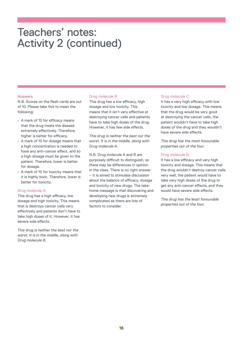### Teachers' notes: Activity 2 (continued)

#### **Answers**

N.B. Scores on the flash cards are out of 10. Please take this to mean the following:

- A mark of 10 for efficacy means that the drug treats the disease extremely effectively. Therefore, higher is better for efficacy.
- A mark of 10 for dosage means that a high concentration is needed to have any anti-cancer effect, and so a high dosage must be given to the patient. Therefore, lower is better for dosage.
- A mark of 10 for toxicity means that it is highly toxic. Therefore, lower is better for toxicity.

#### Drug molecule A:

This drug has a high efficacy, low dosage and high toxicity. This means that is destroys cancer cells very effectively and patients don't have to take high doses of it. However, it has severe side effects.

*This drug is neither the best nor the worst. It is in the middle, along with Drug molecule B.*

#### Drug molecule B:

This drug has a low efficacy, high dosage and low toxicity. This means that it isn't very effective at destroying cancer cells and patients have to take high doses of the drug. However, it has few side effects.

*This drug is neither the best nor the worst. It is in the middle, along with Drug molecule A.*

N.B. Drug molecule A and B are purposely difficult to distinguish, so there may be differences in opinion in the class. There is no right answer – it is aimed to stimulate discussion about the balance of efficacy, dosage and toxicity of new drugs. The takehome message is that discovering and developing new drugs is extremely complicated as there are lots of factors to consider.

#### Drug molecule C:

It has a very high efficacy with low toxicity and low dosage. This means that the drug would be very good at destroying the cancer cells, the patient wouldn't have to take high doses of the drug and they wouldn't have severe side effects.

*This drug has the most favourable properties out of the four.*

#### Drug molecule D:

It has a low efficacy and very high toxicity and dosage. This means that the drug wouldn't destroy cancer cells very well, the patient would have to take very high doses of the drug to get any anti-cancer effects, and they would have severe side effects.

*This drug has the least favourable properties out of the four.*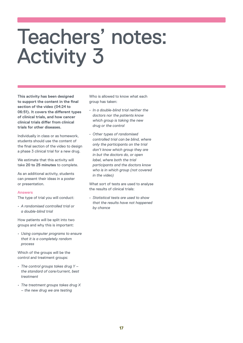### Teachers' notes: Activity 3

**This activity has been designed to support the content in the final section of the video (04:24 to 06:51). It covers the different types of clinical trials, and how cancer clinical trials differ from clinical trials for other diseases.**

Individually in class or as homework, students should use the content of the final section of the video to design a phase 3 clinical trial for a new drug.

We estimate that this activity will take **20 to 25 minutes** to complete.

As an additional activity, students can present their ideas in a poster or presentation.

#### **Answers**

The type of trial you will conduct:

*• A randomised controlled trial or a double-blind trial*

How patients will be split into two groups and why this is important:

*• Using computer programs to ensure that it is a completely random process*

Which of the groups will be the control and treatment groups:

- *• The control groups takes drug Y the standard of care/current, best treatment*
- *• The treatment groups takes drug X – the new drug we are testing*

Who is allowed to know what each group has taken:

- *• In a double-blind trial neither the doctors nor the patients know which group is taking the new drug or the control*
- *• Other types of randomised controlled trial can be blind, where only the participants on the trial don't know which group they are in but the doctors do, or open label, where both the trial participants and the doctors know who is in which group (not covered in the video)*

What sort of tests are used to analyse the results of clinical trials:

*• Statistical tests are used to show that the results have not happened by chance*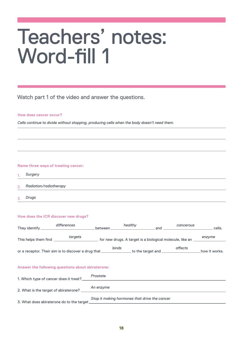### Teachers' notes: Word-fill 1

#### Watch part 1 of the video and answer the questions.

#### **How does cancer occur?**

\_ \_ \_ \_ \_ \_ \_ \_ \_ \_ \_ \_ \_ \_ \_ \_ \_ \_ \_ \_ \_ \_ \_ \_ \_ \_ \_ \_ \_ \_ \_ \_ \_ \_ \_ \_ \_ \_ \_ \_ \_ \_ \_ \_ \_ \_ \_ \_ \_ \_ \_ \_ \_ \_ \_ \_ \_ \_ \_ \_ \_ \_ \_ *Cells continue to divide without stopping, producing cells when the body doesn't need them.*

#### **Name three ways of treating cancer:**

- $\frac{1}{2}$  ,  $\frac{1}{2}$  ,  $\frac{1}{2}$  ,  $\frac{1}{2}$  ,  $\frac{1}{2}$  ,  $\frac{1}{2}$  ,  $\frac{1}{2}$  ,  $\frac{1}{2}$  ,  $\frac{1}{2}$  ,  $\frac{1}{2}$  ,  $\frac{1}{2}$  ,  $\frac{1}{2}$  ,  $\frac{1}{2}$  ,  $\frac{1}{2}$  ,  $\frac{1}{2}$  ,  $\frac{1}{2}$  ,  $\frac{1}{2}$  ,  $\frac{1}{2}$  ,  $\frac{1$ 1. *Surgery*
- $\mathcal{L}_1$  . Numerically remove the pyrrocent computation of  $\mathcal{L}_2$  , and  $\mathcal{L}_3$  are  $\mathcal{L}_4$  and  $\mathcal{L}_5$  and  $\mathcal{L}_6$  are  $\mathcal{L}_7$  and  $\mathcal{L}_8$  and  $\mathcal{L}_7$  and  $\mathcal{L}_8$  are  $\mathcal{L}_7$  and  $\mathcal{L}_8$  and  $\mathcal{$  $\overline{2}$ *Radiation/radiotherapy*
- $\frac{1}{2}$  ,  $\frac{1}{2}$  ,  $\frac{1}{2}$  ,  $\frac{1}{2}$  ,  $\frac{1}{2}$  ,  $\frac{1}{2}$  ,  $\frac{1}{2}$  ,  $\frac{1}{2}$  ,  $\frac{1}{2}$  ,  $\frac{1}{2}$  ,  $\frac{1}{2}$  ,  $\frac{1}{2}$  ,  $\frac{1}{2}$  ,  $\frac{1}{2}$  ,  $\frac{1}{2}$  ,  $\frac{1}{2}$  ,  $\frac{1}{2}$  ,  $\frac{1}{2}$  ,  $\frac{1$ 3. *Drugs*

#### **How does the ICR discover new drugs?**

| They identify        | differences                                         | between | healthy                                                   | and               | cancerous | cells.        |
|----------------------|-----------------------------------------------------|---------|-----------------------------------------------------------|-------------------|-----------|---------------|
| This helps them find | targets                                             |         | for new drugs. A target is a biological molecule, like an |                   |           | enzyme        |
|                      | or a receptor. Their aim is to discover a drug that | binds   |                                                           | to the target and | affects   | how it works. |

\_ \_ \_ \_ \_ \_ \_ \_ \_ \_ \_ \_ \_ \_ \_ \_ \_ \_ \_ \_ \_ \_ \_ \_ \_ \_ \_ \_ \_ \_ \_ \_ \_ \_ \_ \_ \_ \_ \_ \_ \_ \_ \_ \_ \_ \_ \_ \_ \_ \_ \_ \_ \_ \_ \_ \_ \_ \_ \_ \_ \_ \_ \_

\_ \_ \_ \_ \_ \_ \_ \_ \_ \_ \_ \_ \_ \_ \_ \_ \_ \_ \_ \_ \_ \_ \_ \_ \_ \_ \_ \_ \_ \_ \_ \_ \_ \_ \_ \_ \_ \_ \_ \_ \_ \_ \_ \_ \_ \_ \_ \_ \_ \_ \_ \_ \_ \_ \_ \_ \_ \_ \_ \_ \_ \_ \_

#### **Answer the following questions about abiraterone:**

| 1. Which type of cancer does it treat?     | Prostate                                      |
|--------------------------------------------|-----------------------------------------------|
|                                            | An enzyme                                     |
| 3. What does abiraterone do to the target. | Stop it making hormones that drive the cancer |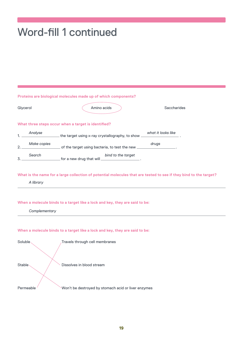### Word-fill 1 continued

| Proteins are biological molecules made up of which components?                                                                 |                                                                             |                    |  |  |  |
|--------------------------------------------------------------------------------------------------------------------------------|-----------------------------------------------------------------------------|--------------------|--|--|--|
| Glycerol                                                                                                                       | Amino acids                                                                 | <b>Saccharides</b> |  |  |  |
|                                                                                                                                | What three steps occur when a target is identified?                         |                    |  |  |  |
| Analyse                                                                                                                        | the target using x-ray crystallography, to show _                           | what it looks like |  |  |  |
| Make copies<br>2.                                                                                                              | of the target using bacteria, to test the new _                             | drugs              |  |  |  |
| Search<br>3.                                                                                                                   | bind to the target<br>for a new drug that will_                             |                    |  |  |  |
| What is the name for a large collection of potential molecules that are tested to see if they bind to the target?<br>A library |                                                                             |                    |  |  |  |
| When a molecule binds to a target like a lock and key, they are said to be:<br>Complementary                                   |                                                                             |                    |  |  |  |
|                                                                                                                                | When a molecule binds to a target like a lock and key, they are said to be: |                    |  |  |  |
| Soluble.                                                                                                                       | Travels through cell membranes                                              |                    |  |  |  |
| Stable<br>Dissolves in blood stream                                                                                            |                                                                             |                    |  |  |  |
| Permeable                                                                                                                      | Won't be destroyed by stomach acid or liver enzymes                         |                    |  |  |  |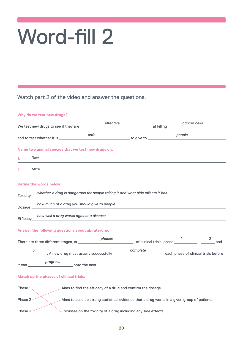Watch part 2 of the video and answer the questions.

#### **Why do we test new drugs?**

|           | We test new drugs to see if they are ______                                   | effective                                                                                   |                                                                                                                                                                                                                                | at killing    | cancer cells |
|-----------|-------------------------------------------------------------------------------|---------------------------------------------------------------------------------------------|--------------------------------------------------------------------------------------------------------------------------------------------------------------------------------------------------------------------------------|---------------|--------------|
|           | and to test whether it is ___________                                         | safe                                                                                        | to give to service to the service of the service of the service of the service of the service of the service of the service of the service of the service of the service of the service of the service of the service of the s | people        |              |
|           | Name two animal species that we test new drugs on:                            |                                                                                             |                                                                                                                                                                                                                                |               |              |
| 1.        | Rats                                                                          |                                                                                             |                                                                                                                                                                                                                                |               |              |
| 2.        | Mice                                                                          |                                                                                             |                                                                                                                                                                                                                                |               |              |
|           | <b>Define the words below:</b>                                                |                                                                                             |                                                                                                                                                                                                                                |               |              |
| Toxicity_ | whether a drug is dangerous for people taking it and what side effects it has |                                                                                             |                                                                                                                                                                                                                                |               |              |
| Dosage __ | how much of a drug you should give to people                                  |                                                                                             |                                                                                                                                                                                                                                |               |              |
| Efficacy  | how well a drug works against a disease                                       |                                                                                             |                                                                                                                                                                                                                                |               |              |
|           | Answer the following questions about abiraterone:                             |                                                                                             |                                                                                                                                                                                                                                |               |              |
|           |                                                                               |                                                                                             | ______________, of clinical trials; phase _________________, _                                                                                                                                                                 | $\mathcal{I}$ | 2<br>and     |
| 3         |                                                                               |                                                                                             | complete                                                                                                                                                                                                                       |               |              |
| it can    | progress<br><u>conto the next.</u>                                            |                                                                                             |                                                                                                                                                                                                                                |               |              |
|           | Match up the phases of clinical trials:                                       |                                                                                             |                                                                                                                                                                                                                                |               |              |
| Phase $1$ |                                                                               | Aims to find the efficacy of a drug and confirm the dosage                                  |                                                                                                                                                                                                                                |               |              |
| Phase 2   |                                                                               | Aims to build up strong statistical evidence that a drug works in a given group of patients |                                                                                                                                                                                                                                |               |              |
| Phase 3   |                                                                               | Focusses on the toxicity of a drug including any side effects                               |                                                                                                                                                                                                                                |               |              |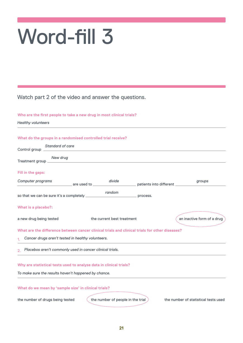Watch part 2 of the video and answer the questions.

#### **Who are the first people to take a new drug in most clinical trials?**

| <b>Healthy volunteers</b>                                                                         |                            |                         |                            |
|---------------------------------------------------------------------------------------------------|----------------------------|-------------------------|----------------------------|
| What do the groups in a randomised controlled trial receive?<br>Standard of care<br>Control group |                            |                         |                            |
| New drug<br>Treatment group __                                                                    |                            |                         |                            |
| Fill in the gaps:                                                                                 |                            |                         |                            |
| Computer programs<br>$\equiv$ are used to $\equiv$                                                | divide                     | patients into different | groups                     |
| so that we can be sure it's a completely __________                                               | random                     | process.                |                            |
| <b>What is a placebo?:</b>                                                                        |                            |                         |                            |
| a new drug being tested                                                                           | the current best treatment |                         | an inactive form of a drug |
| What are the difference between cancer clinical trials and clinical trials for other diseases?    |                            |                         |                            |
| Cancer drugs aren't tested in healthy volunteers.<br>1 <sup>1</sup>                               |                            |                         |                            |
| 2 Placebos aren't commonly used in cancer clinical trials.                                        |                            |                         |                            |
| Why are statistical tests used to analyse data in clinical trials?                                |                            |                         |                            |
| To make sure the results haven't happened by chance.                                              |                            |                         |                            |
| What do we mean by 'sample size' in clinical trials?                                              |                            |                         |                            |

the number of drugs being tested  $\left( \begin{array}{c} 1 \end{array} \right)$  the number of people in the trial  $\left( \begin{array}{c} 1 \end{array} \right)$  the number of statistical tests used